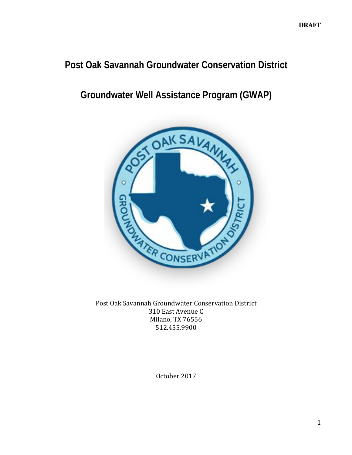# **Post Oak Savannah Groundwater Conservation District**

# **Groundwater Well Assistance Program (GWAP)**



Post Oak Savannah Groundwater Conservation District 310 East Avenue C Milano, TX 76556 512.455.9900

October 2017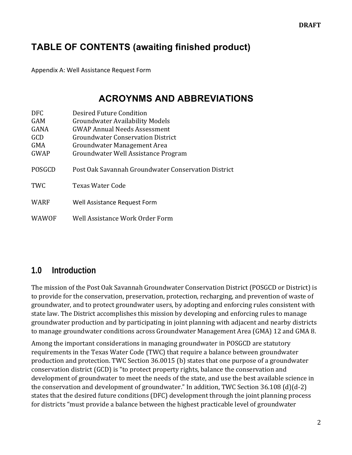# **TABLE OF CONTENTS (awaiting finished product)**

Appendix A: Well Assistance Request Form

### **ACROYNMS AND ABBREVIATIONS**

| DFC.          | Desired Future Condition                            |
|---------------|-----------------------------------------------------|
| <b>GAM</b>    | <b>Groundwater Availability Models</b>              |
| <b>GANA</b>   | <b>GWAP Annual Needs Assessment</b>                 |
| GCD           | <b>Groundwater Conservation District</b>            |
| <b>GMA</b>    | Groundwater Management Area                         |
| <b>GWAP</b>   | Groundwater Well Assistance Program                 |
| <b>POSGCD</b> | Post Oak Savannah Groundwater Conservation District |
| <b>TWC</b>    | <b>Texas Water Code</b>                             |
| <b>WARF</b>   | Well Assistance Request Form                        |
| WAWOF         | Well Assistance Work Order Form                     |

### **1.0 Introduction**

The mission of the Post Oak Savannah Groundwater Conservation District (POSGCD or District) is to provide for the conservation, preservation, protection, recharging, and prevention of waste of groundwater, and to protect groundwater users, by adopting and enforcing rules consistent with state law. The District accomplishes this mission by developing and enforcing rules to manage groundwater production and by participating in joint planning with adjacent and nearby districts to manage groundwater conditions across Groundwater Management Area (GMA) 12 and GMA 8.

Among the important considerations in managing groundwater in POSGCD are statutory requirements in the Texas Water Code (TWC) that require a balance between groundwater production and protection. TWC Section 36.0015 (b) states that one purpose of a groundwater conservation district (GCD) is "to protect property rights, balance the conservation and development of groundwater to meet the needs of the state, and use the best available science in the conservation and development of groundwater." In addition, TWC Section  $36.108$  (d)(d-2) states that the desired future conditions (DFC) development through the joint planning process for districts "must provide a balance between the highest practicable level of groundwater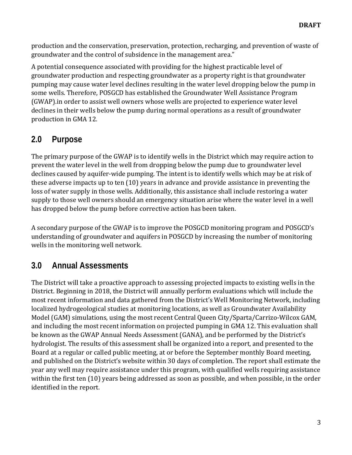production and the conservation, preservation, protection, recharging, and prevention of waste of groundwater and the control of subsidence in the management area."

A potential consequence associated with providing for the highest practicable level of groundwater production and respecting groundwater as a property right is that groundwater pumping may cause water level declines resulting in the water level dropping below the pump in some wells. Therefore, POSGCD has established the Groundwater Well Assistance Program (GWAP).in order to assist well owners whose wells are projected to experience water level declines in their wells below the pump during normal operations as a result of groundwater production in GMA 12.

### **2.0 Purpose**

The primary purpose of the GWAP is to identify wells in the District which may require action to prevent the water level in the well from dropping below the pump due to groundwater level declines caused by aquifer-wide pumping. The intent is to identify wells which may be at risk of these adverse impacts up to ten  $(10)$  years in advance and provide assistance in preventing the loss of water supply in those wells. Additionally, this assistance shall include restoring a water supply to those well owners should an emergency situation arise where the water level in a well has dropped below the pump before corrective action has been taken.

A secondary purpose of the GWAP is to improve the POSGCD monitoring program and POSGCD's understanding of groundwater and aquifers in POSGCD by increasing the number of monitoring wells in the monitoring well network.

# **3.0 Annual Assessments**

The District will take a proactive approach to assessing projected impacts to existing wells in the District. Beginning in 2018, the District will annually perform evaluations which will include the most recent information and data gathered from the District's Well Monitoring Network, including localized hydrogeological studies at monitoring locations, as well as Groundwater Availability Model (GAM) simulations, using the most recent Central Queen City/Sparta/Carrizo-Wilcox GAM, and including the most recent information on projected pumping in GMA 12. This evaluation shall be known as the GWAP Annual Needs Assessment (GANA), and be performed by the District's hydrologist. The results of this assessment shall be organized into a report, and presented to the Board at a regular or called public meeting, at or before the September monthly Board meeting, and published on the District's website within 30 days of completion. The report shall estimate the year any well may require assistance under this program, with qualified wells requiring assistance within the first ten (10) years being addressed as soon as possible, and when possible, in the order identified in the report.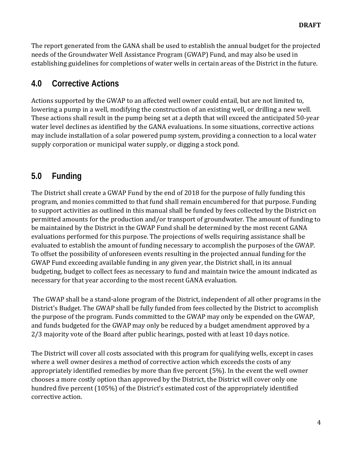The report generated from the GANA shall be used to establish the annual budget for the projected needs of the Groundwater Well Assistance Program (GWAP) Fund, and may also be used in establishing guidelines for completions of water wells in certain areas of the District in the future.

### **4.0 Corrective Actions**

Actions supported by the GWAP to an affected well owner could entail, but are not limited to, lowering a pump in a well, modifying the construction of an existing well, or drilling a new well. These actions shall result in the pump being set at a depth that will exceed the anticipated 50-year water level declines as identified by the GANA evaluations. In some situations, corrective actions may include installation of a solar powered pump system, providing a connection to a local water supply corporation or municipal water supply, or digging a stock pond.

### **5.0 Funding**

The District shall create a GWAP Fund by the end of 2018 for the purpose of fully funding this program, and monies committed to that fund shall remain encumbered for that purpose. Funding to support activities as outlined in this manual shall be funded by fees collected by the District on permitted amounts for the production and/or transport of groundwater. The amount of funding to be maintained by the District in the GWAP Fund shall be determined by the most recent GANA evaluations performed for this purpose. The projections of wells requiring assistance shall be evaluated to establish the amount of funding necessary to accomplish the purposes of the GWAP. To offset the possibility of unforeseen events resulting in the projected annual funding for the GWAP Fund exceeding available funding in any given year, the District shall, in its annual budgeting, budget to collect fees as necessary to fund and maintain twice the amount indicated as necessary for that year according to the most recent GANA evaluation.

The GWAP shall be a stand-alone program of the District, independent of all other programs in the District's Budget. The GWAP shall be fully funded from fees collected by the District to accomplish the purpose of the program. Funds committed to the GWAP may only be expended on the GWAP, and funds budgeted for the GWAP may only be reduced by a budget amendment approved by a 2/3 majority vote of the Board after public hearings, posted with at least 10 days notice.

The District will cover all costs associated with this program for qualifying wells, except in cases where a well owner desires a method of corrective action which exceeds the costs of any appropriately identified remedies by more than five percent  $(5%)$ . In the event the well owner chooses a more costly option than approved by the District, the District will cover only one hundred five percent (105%) of the District's estimated cost of the appropriately identified corrective action.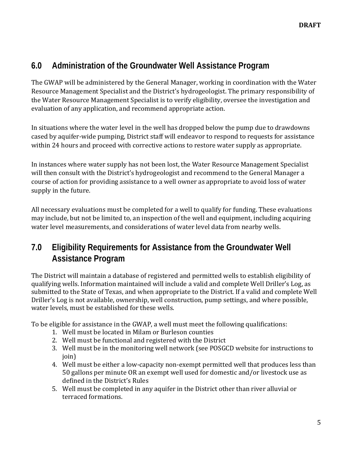### **6.0 Administration of the Groundwater Well Assistance Program**

The GWAP will be administered by the General Manager, working in coordination with the Water Resource Management Specialist and the District's hydrogeologist. The primary responsibility of the Water Resource Management Specialist is to verify eligibility, oversee the investigation and evaluation of any application, and recommend appropriate action.

In situations where the water level in the well has dropped below the pump due to drawdowns cased by aquifer-wide pumping, District staff will endeavor to respond to requests for assistance within 24 hours and proceed with corrective actions to restore water supply as appropriate.

In instances where water supply has not been lost, the Water Resource Management Specialist will then consult with the District's hydrogeologist and recommend to the General Manager a course of action for providing assistance to a well owner as appropriate to avoid loss of water supply in the future.

All necessary evaluations must be completed for a well to qualify for funding. These evaluations may include, but not be limited to, an inspection of the well and equipment, including acquiring water level measurements, and considerations of water level data from nearby wells.

## **7.0 Eligibility Requirements for Assistance from the Groundwater Well Assistance Program**

The District will maintain a database of registered and permitted wells to establish eligibility of qualifying wells. Information maintained will include a valid and complete Well Driller's Log, as submitted to the State of Texas, and when appropriate to the District. If a valid and complete Well Driller's Log is not available, ownership, well construction, pump settings, and where possible, water levels, must be established for these wells.

To be eligible for assistance in the GWAP, a well must meet the following qualifications:

- 1. Well must be located in Milam or Burleson counties
- 2. Well must be functional and registered with the District
- 3. Well must be in the monitoring well network (see POSGCD website for instructions to join)
- 4. Well must be either a low-capacity non-exempt permitted well that produces less than 50 gallons per minute OR an exempt well used for domestic and/or livestock use as defined in the District's Rules
- 5. Well must be completed in any aquifer in the District other than river alluvial or terraced formations.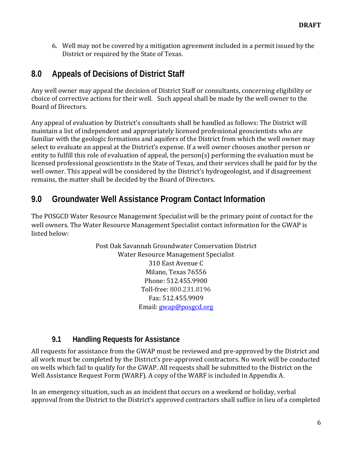6. Well may not be covered by a mitigation agreement included in a permit issued by the District or required by the State of Texas.

# **8.0 Appeals of Decisions of District Staff**

Any well owner may appeal the decision of District Staff or consultants, concerning eligibility or choice of corrective actions for their well. Such appeal shall be made by the well owner to the Board of Directors.

Any appeal of evaluation by District's consultants shall be handled as follows: The District will maintain a list of independent and appropriately licensed professional geoscientists who are familiar with the geologic formations and aquifers of the District from which the well owner may select to evaluate an appeal at the District's expense. If a well owner chooses another person or entity to fulfill this role of evaluation of appeal, the person(s) performing the evaluation must be licensed professional geoscientists in the State of Texas, and their services shall be paid for by the well owner. This appeal will be considered by the District's hydrogeologist, and if disagreement remains, the matter shall be decided by the Board of Directors.

## **9.0 Groundwater Well Assistance Program Contact Information**

The POSGCD Water Resource Management Specialist will be the primary point of contact for the well owners. The Water Resource Management Specialist contact information for the GWAP is listed below:

> Post Oak Savannah Groundwater Conservation District Water Resource Management Specialist 310 East Avenue C Milano, Texas 76556 Phone: 512.455.9900 Toll-free: 800.231.8196 Fax: 512.455.9909 Email: gwap@posgcd.org

#### **9.1 Handling Requests for Assistance**

All requests for assistance from the GWAP must be reviewed and pre-approved by the District and all work must be completed by the District's pre-approved contractors. No work will be conducted on wells which fail to qualify for the GWAP. All requests shall be submitted to the District on the Well Assistance Request Form (WARF). A copy of the WARF is included in Appendix A.

In an emergency situation, such as an incident that occurs on a weekend or holiday, verbal approval from the District to the District's approved contractors shall suffice in lieu of a completed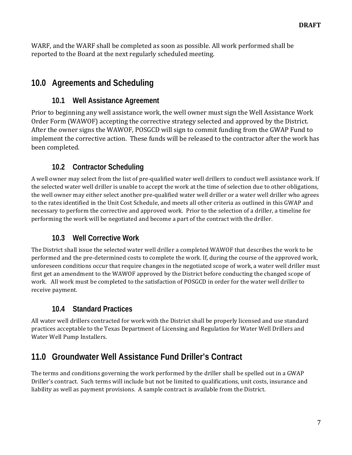WARF, and the WARF shall be completed as soon as possible. All work performed shall be reported to the Board at the next regularly scheduled meeting.

## **10.0 Agreements and Scheduling**

#### **10.1 Well Assistance Agreement**

Prior to beginning any well assistance work, the well owner must sign the Well Assistance Work Order Form (WAWOF) accepting the corrective strategy selected and approved by the District. After the owner signs the WAWOF, POSGCD will sign to commit funding from the GWAP Fund to implement the corrective action. These funds will be released to the contractor after the work has been completed.

### **10.2 Contractor Scheduling**

A well owner may select from the list of pre-qualified water well drillers to conduct well assistance work. If the selected water well driller is unable to accept the work at the time of selection due to other obligations, the well owner may either select another pre-qualified water well driller or a water well driller who agrees to the rates identified in the Unit Cost Schedule, and meets all other criteria as outlined in this GWAP and necessary to perform the corrective and approved work. Prior to the selection of a driller, a timeline for performing the work will be negotiated and become a part of the contract with the driller.

### **10.3 Well Corrective Work**

The District shall issue the selected water well driller a completed WAWOF that describes the work to be performed and the pre-determined costs to complete the work. If, during the course of the approved work, unforeseen conditions occur that require changes in the negotiated scope of work, a water well driller must first get an amendment to the WAWOF approved by the District before conducting the changed scope of work. All work must be completed to the satisfaction of POSGCD in order for the water well driller to receive payment.

### **10.4 Standard Practices**

All water well drillers contracted for work with the District shall be properly licensed and use standard practices acceptable to the Texas Department of Licensing and Regulation for Water Well Drillers and Water Well Pump Installers.

# **11.0 Groundwater Well Assistance Fund Driller's Contract**

The terms and conditions governing the work performed by the driller shall be spelled out in a GWAP Driller's contract. Such terms will include but not be limited to qualifications, unit costs, insurance and liability as well as payment provisions. A sample contract is available from the District.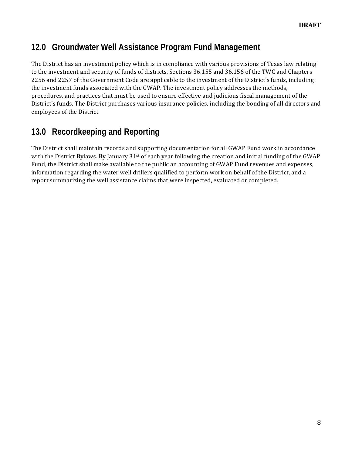## **12.0 Groundwater Well Assistance Program Fund Management**

The District has an investment policy which is in compliance with various provisions of Texas law relating to the investment and security of funds of districts. Sections 36.155 and 36.156 of the TWC and Chapters 2256 and 2257 of the Government Code are applicable to the investment of the District's funds, including the investment funds associated with the GWAP. The investment policy addresses the methods, procedures, and practices that must be used to ensure effective and judicious fiscal management of the District's funds. The District purchases various insurance policies, including the bonding of all directors and employees of the District.

# **13.0 Recordkeeping and Reporting**

The District shall maintain records and supporting documentation for all GWAP Fund work in accordance with the District Bylaws. By January  $31<sup>st</sup>$  of each year following the creation and initial funding of the GWAP Fund, the District shall make available to the public an accounting of GWAP Fund revenues and expenses, information regarding the water well drillers qualified to perform work on behalf of the District, and a report summarizing the well assistance claims that were inspected, evaluated or completed.